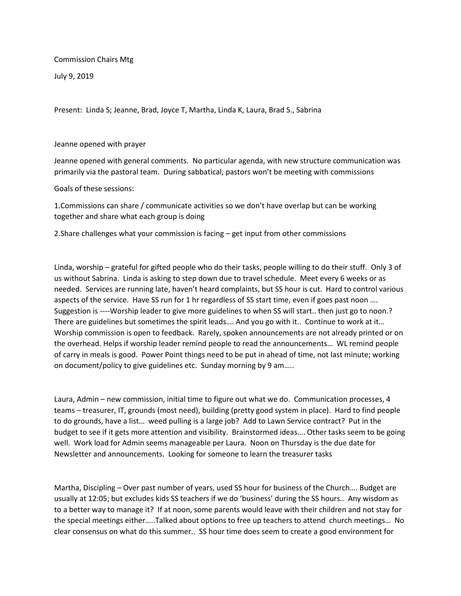Commission Chairs Mtg

July 9, 2019

Present: Linda S; Jeanne, Brad, Joyce T, Martha, Linda K, Laura, Brad S., Sabrina

## Jeanne opened with prayer

Jeanne opened with general comments. No particular agenda, with new structure communication was primarily via the pastoral team. During sabbatical, pastors won't be meeting with commissions

## Goals of these sessions:

1.Commissions can share / communicate activities so we don't have overlap but can be working together and share what each group is doing

2.Share challenges what your commission is facing – get input from other commissions

Linda, worship – grateful for gifted people who do their tasks, people willing to do their stuff. Only 3 of us without Sabrina. Linda is asking to step down due to travel schedule. Meet every 6 weeks or as needed. Services are running late, haven't heard complaints, but SS hour is cut. Hard to control various aspects of the service. Have SS run for 1 hr regardless of SS start time, even if goes past noon .... Suggestion is ----Worship leader to give more guidelines to when SS will start.. then just go to noon.? There are guidelines but sometimes the spirit leads.... And you go with it.. Continue to work at it... Worship commission is open to feedback. Rarely, spoken announcements are not already printed or on the overhead. Helps if worship leader remind people to read the announcements… WL remind people of carry in meals is good. Power Point things need to be put in ahead of time, not last minute; working on document/policy to give guidelines etc. Sunday morning by 9 am…..

Laura, Admin – new commission, initial time to figure out what we do. Communication processes, 4 teams – treasurer, IT, grounds (most need), building (pretty good system in place). Hard to find people to do grounds, have a list… weed pulling is a large job? Add to Lawn Service contract? Put in the budget to see if it gets more attention and visibility. Brainstormed ideas…. Other tasks seem to be going well. Work load for Admin seems manageable per Laura. Noon on Thursday is the due date for Newsletter and announcements. Looking for someone to learn the treasurer tasks

Martha, Discipling – Over past number of years, used SS hour for business of the Church…. Budget are usually at 12:05; but excludes kids SS teachers if we do 'business' during the SS hours.. Any wisdom as to a better way to manage it? If at noon, some parents would leave with their children and not stay for the special meetings either…..Talked about options to free up teachers to attend church meetings… No clear consensus on what do this summer.. SS hour time does seem to create a good environment for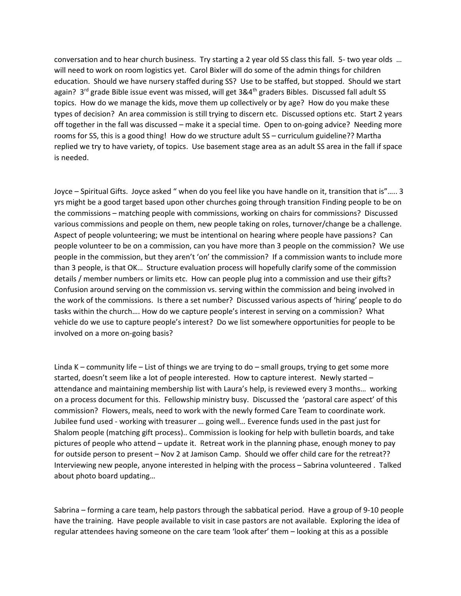conversation and to hear church business. Try starting a 2 year old SS class this fall. 5- two year olds … will need to work on room logistics yet. Carol Bixler will do some of the admin things for children education. Should we have nursery staffed during SS? Use to be staffed, but stopped. Should we start again? 3<sup>rd</sup> grade Bible issue event was missed, will get 3&4<sup>th</sup> graders Bibles. Discussed fall adult SS topics. How do we manage the kids, move them up collectively or by age? How do you make these types of decision? An area commission is still trying to discern etc. Discussed options etc. Start 2 years off together in the fall was discussed – make it a special time. Open to on-going advice? Needing more rooms for SS, this is a good thing! How do we structure adult SS – curriculum guideline?? Martha replied we try to have variety, of topics. Use basement stage area as an adult SS area in the fall if space is needed.

Joyce – Spiritual Gifts. Joyce asked " when do you feel like you have handle on it, transition that is"….. 3 yrs might be a good target based upon other churches going through transition Finding people to be on the commissions – matching people with commissions, working on chairs for commissions? Discussed various commissions and people on them, new people taking on roles, turnover/change be a challenge. Aspect of people volunteering; we must be intentional on hearing where people have passions? Can people volunteer to be on a commission, can you have more than 3 people on the commission? We use people in the commission, but they aren't 'on' the commission? If a commission wants to include more than 3 people, is that OK… Structure evaluation process will hopefully clarify some of the commission details / member numbers or limits etc. How can people plug into a commission and use their gifts? Confusion around serving on the commission vs. serving within the commission and being involved in the work of the commissions. Is there a set number? Discussed various aspects of 'hiring' people to do tasks within the church…. How do we capture people's interest in serving on a commission? What vehicle do we use to capture people's interest? Do we list somewhere opportunities for people to be involved on a more on-going basis?

Linda K – community life – List of things we are trying to do – small groups, trying to get some more started, doesn't seem like a lot of people interested. How to capture interest. Newly started – attendance and maintaining membership list with Laura's help, is reviewed every 3 months… working on a process document for this. Fellowship ministry busy. Discussed the 'pastoral care aspect' of this commission? Flowers, meals, need to work with the newly formed Care Team to coordinate work. Jubilee fund used - working with treasurer … going well… Everence funds used in the past just for Shalom people (matching gift process).. Commission is looking for help with bulletin boards, and take pictures of people who attend – update it. Retreat work in the planning phase, enough money to pay for outside person to present – Nov 2 at Jamison Camp. Should we offer child care for the retreat?? Interviewing new people, anyone interested in helping with the process – Sabrina volunteered . Talked about photo board updating…

Sabrina – forming a care team, help pastors through the sabbatical period. Have a group of 9-10 people have the training. Have people available to visit in case pastors are not available. Exploring the idea of regular attendees having someone on the care team 'look after' them – looking at this as a possible